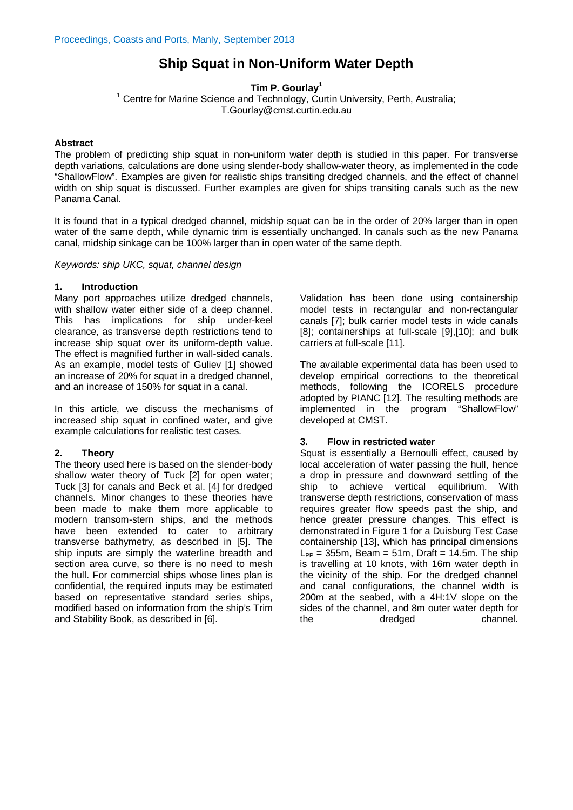# **Ship Squat in Non-Uniform Water Depth**

**Tim P. Gourlay**<sup>1</sup>

<sup>1</sup> Centre for Marine Science and Technology, Curtin University, Perth, Australia; T.Gourlay@cmst.curtin.edu.au

## **Abstract**

The problem of predicting ship squat in non-uniform water depth is studied in this paper. For transverse depth variations, calculations are done using slender-body shallow-water theory, as implemented in the code "ShallowFlow". Examples are given for realistic ships transiting dredged channels, and the effect of channel width on ship squat is discussed. Further examples are given for ships transiting canals such as the new Panama Canal.

It is found that in a typical dredged channel, midship squat can be in the order of 20% larger than in open water of the same depth, while dynamic trim is essentially unchanged. In canals such as the new Panama canal, midship sinkage can be 100% larger than in open water of the same depth.

*Keywords: ship UKC, squat, channel design*

## **1. Introduction**

Many port approaches utilize dredged channels, with shallow water either side of a deep channel. This has implications for ship under-keel clearance, as transverse depth restrictions tend to increase ship squat over its uniform-depth value. The effect is magnified further in wall-sided canals. As an example, model tests of Guliev [\[1\]](#page-3-0) showed an increase of 20% for squat in a dredged channel, and an increase of 150% for squat in a canal.

In this article, we discuss the mechanisms of increased ship squat in confined water, and give example calculations for realistic test cases.

# **2. Theory**

The theory used here is based on the slender-body shallow water theory of Tuck [\[2\]](#page-3-1) for open water; Tuck [\[3\]](#page-3-2) for canals and Beck et al. [\[4\]](#page-3-3) for dredged channels. Minor changes to these theories have been made to make them more applicable to modern transom-stern ships, and the methods have been extended to cater to arbitrary transverse bathymetry, as described in [\[5\]](#page-3-4). The ship inputs are simply the waterline breadth and section area curve, so there is no need to mesh the hull. For commercial ships whose lines plan is confidential, the required inputs may be estimated based on representative standard series ships, modified based on information from the ship's Trim and Stability Book, as described in [\[6\]](#page-3-5).

Validation has been done using containership model tests in rectangular and non-rectangular canals [\[7\]](#page-3-6); bulk carrier model tests in wide canals [\[8\]](#page-3-7); containerships at full-scale [\[9\]](#page-3-8)[,\[10\]](#page-3-9); and bulk carriers at full-scale [\[11\]](#page-3-10).

The available experimental data has been used to develop empirical corrections to the theoretical methods, following the ICORELS procedure adopted by PIANC [\[12\]](#page-3-11). The resulting methods are implemented in the program "ShallowFlow" developed at CMST.

## **3. Flow in restricted water**

Squat is essentially a Bernoulli effect, caused by local acceleration of water passing the hull, hence a drop in pressure and downward settling of the ship to achieve vertical equilibrium. With transverse depth restrictions, conservation of mass requires greater flow speeds past the ship, and hence greater pressure changes. This effect is demonstrated in Figure 1 for a Duisburg Test Case containership [\[13\]](#page-3-12), which has principal dimensions  $L_{PP}$  = 355m, Beam = 51m, Draft = 14.5m. The ship is travelling at 10 knots, with 16m water depth in the vicinity of the ship. For the dredged channel and canal configurations, the channel width is 200m at the seabed, with a 4H:1V slope on the sides of the channel, and 8m outer water depth for dredged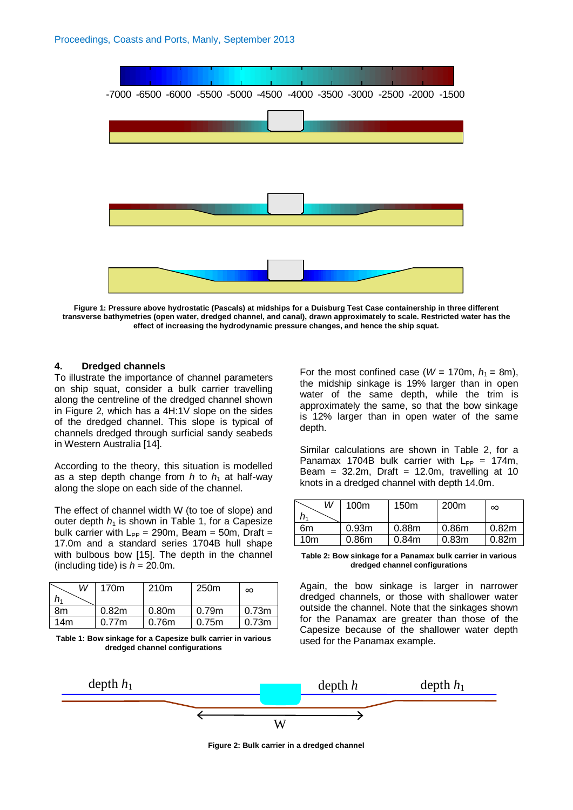

**Figure 1: Pressure above hydrostatic (Pascals) at midships for a Duisburg Test Case containership in three different transverse bathymetries (open water, dredged channel, and canal), drawn approximately to scale. Restricted water has the effect of increasing the hydrodynamic pressure changes, and hence the ship squat.**

#### **4. Dredged channels**

To illustrate the importance of channel parameters on ship squat, consider a bulk carrier travelling along the centreline of the dredged channel shown in Figure 2, which has a 4H:1V slope on the sides of the dredged channel. This slope is typical of channels dredged through surficial sandy seabeds in Western Australia [\[14\]](#page-3-13).

According to the theory, this situation is modelled as a step depth change from  $h$  to  $h_1$  at half-way along the slope on each side of the channel.

The effect of channel width W (to toe of slope) and outer depth  $h_1$  is shown in Table 1, for a Capesize bulk carrier with  $L_{PP} = 290$ m, Beam = 50m, Draft = 17.0m and a standard series 1704B hull shape with bulbous bow [\[15\]](#page-3-14). The depth in the channel (including tide) is  $h = 20.0$ m.

| W   | 170 <sub>m</sub> | 210 <sub>m</sub>  | 250 <sub>m</sub> | $\infty$          |
|-----|------------------|-------------------|------------------|-------------------|
| n,  |                  |                   |                  |                   |
| 8m  | 0.82m            | 0.80 <sub>m</sub> | 0.79m            | 0.73 <sub>m</sub> |
| 14m | 0.77m            | 0.76 <sub>m</sub> | 0.75m            | 0.73 <sub>m</sub> |

**Table 1: Bow sinkage for a Capesize bulk carrier in various dredged channel configurations**

For the most confined case ( $W = 170$ m,  $h_1 = 8$ m), the midship sinkage is 19% larger than in open water of the same depth, while the trim is approximately the same, so that the bow sinkage is 12% larger than in open water of the same depth.

Similar calculations are shown in Table 2, for a Panamax 1704B bulk carrier with  $L_{PP} = 174$ m, Beam =  $32.2m$ , Draft =  $12.0m$ , travelling at 10 knots in a dredged channel with depth 14.0m.

| W               | 100 <sub>m</sub>  | 150 <sub>m</sub>  | 200 <sub>m</sub>  | ∞     |
|-----------------|-------------------|-------------------|-------------------|-------|
| 6m              | 0.93 <sub>m</sub> | 0.88 <sub>m</sub> | 0.86 <sub>m</sub> | 0.82m |
| 10 <sub>m</sub> | 0.86 <sub>m</sub> | 0.84m             | 0.83 <sub>m</sub> | 0.82m |

**Table 2: Bow sinkage for a Panamax bulk carrier in various dredged channel configurations**

Again, the bow sinkage is larger in narrower dredged channels, or those with shallower water outside the channel. Note that the sinkages shown for the Panamax are greater than those of the Capesize because of the shallower water depth used for the Panamax example.



**Figure 2: Bulk carrier in a dredged channel**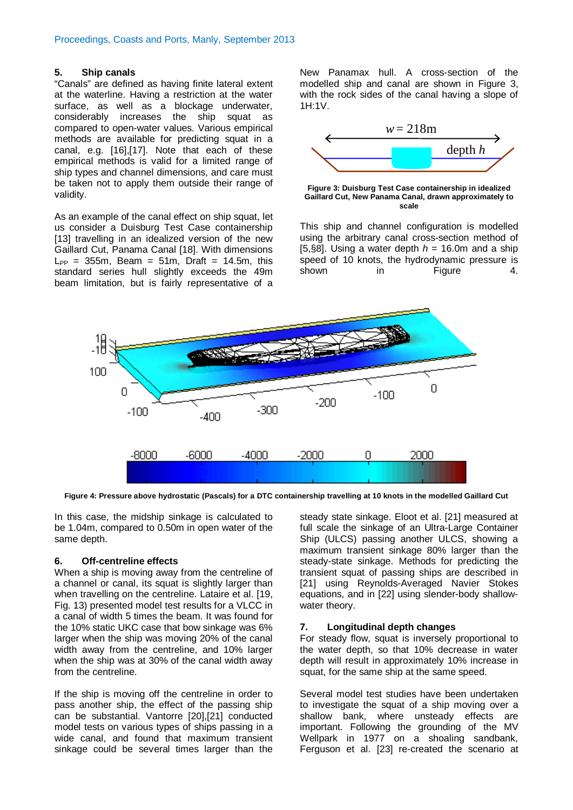#### **5. Ship canals**

"Canals" are defined as having finite lateral extent at the waterline. Having a restriction at the water surface, as well as a blockage underwater, considerably increases the ship squat as compared to open-water values. Various empirical methods are available for predicting squat in a canal, e.g. [\[16\]](#page-3-15)[,\[17\]](#page-3-16). Note that each of these empirical methods is valid for a limited range of ship types and channel dimensions, and care must be taken not to apply them outside their range of validity.

As an example of the canal effect on ship squat, let us consider a Duisburg Test Case containership [\[13\]](#page-3-12) travelling in an idealized version of the new Gaillard Cut, Panama Canal [\[18\]](#page-3-17). With dimensions  $L_{PP}$  = 355m, Beam = 51m, Draft = 14.5m, this standard series hull slightly exceeds the 49m beam limitation, but is fairly representative of a

New Panamax hull. A cross-section of the modelled ship and canal are shown in Figure 3, with the rock sides of the canal having a slope of 1H:1V.



**Figure 3: Duisburg Test Case containership in idealized Gaillard Cut, New Panama Canal, drawn approximately to scale**

This ship and channel configuration is modelled using the arbitrary canal cross-section method of [\[5,](#page-3-4)§8]. Using a water depth  $h = 16.0$ m and a ship speed of 10 knots, the hydrodynamic pressure is<br>shown in Figure 4 in Figure 4.



**Figure 4: Pressure above hydrostatic (Pascals) for a DTC containership travelling at 10 knots in the modelled Gaillard Cut**

In this case, the midship sinkage is calculated to be 1.04m, compared to 0.50m in open water of the same depth.

## **6. Off-centreline effects**

When a ship is moving away from the centreline of a channel or canal, its squat is slightly larger than when travelling on the centreline. Lataire et al. [\[19,](#page-3-18) Fig. 13) presented model test results for a VLCC in a canal of width 5 times the beam. It was found for the 10% static UKC case that bow sinkage was 6% larger when the ship was moving 20% of the canal width away from the centreline, and 10% larger when the ship was at 30% of the canal width away from the centreline.

If the ship is moving off the centreline in order to pass another ship, the effect of the passing ship can be substantial. Vantorre [\[20\]](#page-4-0)[,\[21\]](#page-4-1) conducted model tests on various types of ships passing in a wide canal, and found that maximum transient sinkage could be several times larger than the

steady state sinkage. Eloot et al. [\[21\]](#page-4-1) measured at full scale the sinkage of an Ultra-Large Container Ship (ULCS) passing another ULCS, showing a maximum transient sinkage 80% larger than the steady-state sinkage. Methods for predicting the transient squat of passing ships are described in [\[21\]](#page-4-1) using Reynolds-Averaged Navier Stokes equations, and in [\[22\]](#page-4-2) using slender-body shallowwater theory.

# **7. Longitudinal depth changes**

For steady flow, squat is inversely proportional to the water depth, so that 10% decrease in water depth will result in approximately 10% increase in squat, for the same ship at the same speed.

Several model test studies have been undertaken to investigate the squat of a ship moving over a shallow bank, where unsteady effects are important. Following the grounding of the MV Wellpark in 1977 on a shoaling sandbank, Ferguson et al. [\[23\]](#page-4-3) re-created the scenario at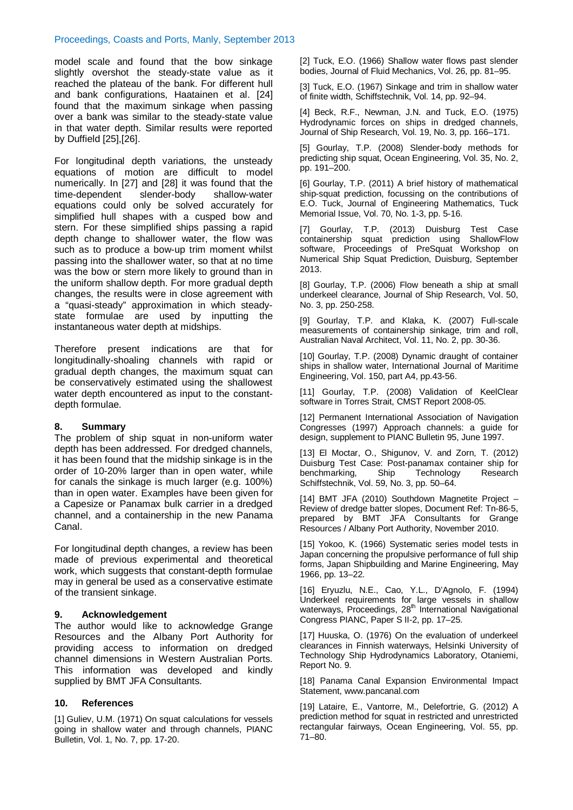## Proceedings, Coasts and Ports, Manly, September 2013

model scale and found that the bow sinkage slightly overshot the steady-state value as it reached the plateau of the bank. For different hull and bank configurations, Haatainen et al. [\[24\]](#page-4-4) found that the maximum sinkage when passing over a bank was similar to the steady-state value in that water depth. Similar results were reported by Duffiel[d \[25\]](#page-4-5)[,\[26\]](#page-4-6).

For longitudinal depth variations, the unsteady equations of motion are difficult to model numerically. In [\[27\]](#page-4-7) and [\[28\]](#page-4-8) it was found that the time-dependent slender-body shallow-water time-dependent equations could only be solved accurately for simplified hull shapes with a cusped bow and stern. For these simplified ships passing a rapid depth change to shallower water, the flow was such as to produce a bow-up trim moment whilst passing into the shallower water, so that at no time was the bow or stern more likely to ground than in the uniform shallow depth. For more gradual depth changes, the results were in close agreement with a "quasi-steady" approximation in which steadystate formulae are used by inputting the instantaneous water depth at midships.

Therefore present indications are that for longitudinally-shoaling channels with rapid or gradual depth changes, the maximum squat can be conservatively estimated using the shallowest water depth encountered as input to the constantdepth formulae.

## **8. Summary**

The problem of ship squat in non-uniform water depth has been addressed. For dredged channels, it has been found that the midship sinkage is in the order of 10-20% larger than in open water, while for canals the sinkage is much larger (e.g. 100%) than in open water. Examples have been given for a Capesize or Panamax bulk carrier in a dredged channel, and a containership in the new Panama Canal.

For longitudinal depth changes, a review has been made of previous experimental and theoretical work, which suggests that constant-depth formulae may in general be used as a conservative estimate of the transient sinkage.

## **9. Acknowledgement**

The author would like to acknowledge Grange Resources and the Albany Port Authority for providing access to information on dredged channel dimensions in Western Australian Ports. This information was developed and kindly supplied by BMT JFA Consultants.

## **10. References**

<span id="page-3-0"></span>[1] Guliev, U.M. (1971) On squat calculations for vessels going in shallow water and through channels, PIANC Bulletin, Vol. 1, No. 7, pp. 17-20.

<span id="page-3-1"></span>[2] Tuck, E.O. (1966) Shallow water flows past slender bodies, Journal of Fluid Mechanics, Vol. 26, pp. 81–95.

<span id="page-3-2"></span>[3] Tuck, E.O. (1967) Sinkage and trim in shallow water of finite width, Schiffstechnik, Vol. 14, pp. 92–94.

<span id="page-3-3"></span>[4] Beck, R.F., Newman, J.N. and Tuck, E.O. (1975) Hydrodynamic forces on ships in dredged channels, Journal of Ship Research, Vol. 19, No. 3, pp. 166–171.

<span id="page-3-4"></span>[5] Gourlay, T.P. (2008) Slender-body methods for predicting ship squat, Ocean Engineering, Vol. 35, No. 2, pp. 191–200.

<span id="page-3-5"></span>[6] Gourlay, T.P. (2011) A brief history of mathematical ship-squat prediction, focussing on the contributions of E.O. Tuck, Journal of Engineering Mathematics, Tuck Memorial Issue, Vol. 70, No. 1-3, pp. 5-16.

<span id="page-3-6"></span>[7] Gourlay, T.P. (2013) Duisburg Test Case containership squat prediction using ShallowFlow software, Proceedings of PreSquat Workshop on Numerical Ship Squat Prediction, Duisburg, September 2013.

<span id="page-3-7"></span>[8] Gourlay, T.P. (2006) Flow beneath a ship at small underkeel clearance, Journal of Ship Research, Vol. 50, No. 3, pp. 250-258.

<span id="page-3-8"></span>[9] Gourlay, T.P. and Klaka, K. (2007) Full-scale measurements of containership sinkage, trim and roll, Australian Naval Architect, Vol. 11, No. 2, pp. 30-36.

<span id="page-3-9"></span>[10] Gourlay, T.P. (2008) Dynamic draught of container ships in shallow water, International Journal of Maritime Engineering, Vol. 150, part A4, pp.43-56.

<span id="page-3-10"></span>[11] Gourlay, T.P. (2008) Validation of KeelClear software in Torres Strait, CMST Report 2008-05.

<span id="page-3-11"></span>[12] Permanent International Association of Navigation Congresses (1997) Approach channels: a guide for design, supplement to PIANC Bulletin 95, June 1997.

<span id="page-3-12"></span>[13] El Moctar, O., Shigunov, V. and Zorn, T. (2012) Duisburg Test Case: Post-panamax container ship for benchmarking, Schiffstechnik, Vol. 59, No. 3, pp. 50–64.

<span id="page-3-13"></span>[14] BMT JFA (2010) Southdown Magnetite Project – Review of dredge batter slopes, Document Ref: Tn-86-5, prepared by BMT JFA Consultants for Grange Resources / Albany Port Authority, November 2010.

<span id="page-3-14"></span>[15] Yokoo, K. (1966) Systematic series model tests in Japan concerning the propulsive performance of full ship forms, Japan Shipbuilding and Marine Engineering, May 1966, pp. 13–22.

<span id="page-3-15"></span>[16] Eryuzlu, N.E., Cao, Y.L., D'Agnolo, F. (1994) Underkeel requirements for large vessels in shallow waterways, Proceedings, 28<sup>th</sup> International Navigational Congress PIANC, Paper S II-2, pp. 17–25.

<span id="page-3-16"></span>[17] Huuska, O. (1976) On the evaluation of underkeel clearances in Finnish waterways, Helsinki University of Technology Ship Hydrodynamics Laboratory, Otaniemi, Report No. 9.

<span id="page-3-17"></span>[18] Panama Canal Expansion Environmental Impact Statement, www.pancanal.com

<span id="page-3-18"></span>[19] Lataire, E., Vantorre, M., Delefortrie, G. (2012) A prediction method for squat in restricted and unrestricted rectangular fairways, Ocean Engineering, Vol. 55, pp. 71–80.